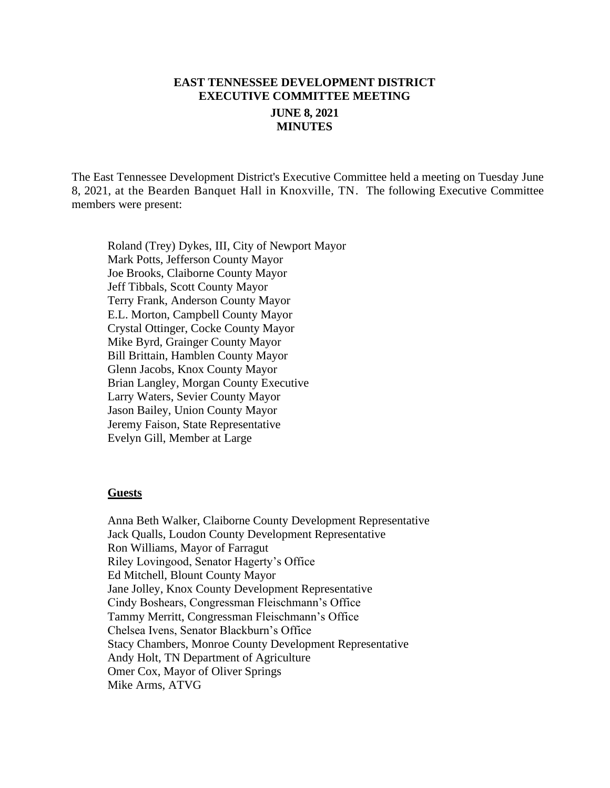# **EAST TENNESSEE DEVELOPMENT DISTRICT EXECUTIVE COMMITTEE MEETING JUNE 8, 2021 MINUTES**

The East Tennessee Development District's Executive Committee held a meeting on Tuesday June 8, 2021, at the Bearden Banquet Hall in Knoxville, TN. The following Executive Committee members were present:

Roland (Trey) Dykes, III, City of Newport Mayor Mark Potts, Jefferson County Mayor Joe Brooks, Claiborne County Mayor Jeff Tibbals, Scott County Mayor Terry Frank, Anderson County Mayor E.L. Morton, Campbell County Mayor Crystal Ottinger, Cocke County Mayor Mike Byrd, Grainger County Mayor Bill Brittain, Hamblen County Mayor Glenn Jacobs, Knox County Mayor Brian Langley, Morgan County Executive Larry Waters, Sevier County Mayor Jason Bailey, Union County Mayor Jeremy Faison, State Representative Evelyn Gill, Member at Large

#### **Guests**

Anna Beth Walker, Claiborne County Development Representative Jack Qualls, Loudon County Development Representative Ron Williams, Mayor of Farragut Riley Lovingood, Senator Hagerty's Office Ed Mitchell, Blount County Mayor Jane Jolley, Knox County Development Representative Cindy Boshears, Congressman Fleischmann's Office Tammy Merritt, Congressman Fleischmann's Office Chelsea Ivens, Senator Blackburn's Office Stacy Chambers, Monroe County Development Representative Andy Holt, TN Department of Agriculture Omer Cox, Mayor of Oliver Springs Mike Arms, ATVG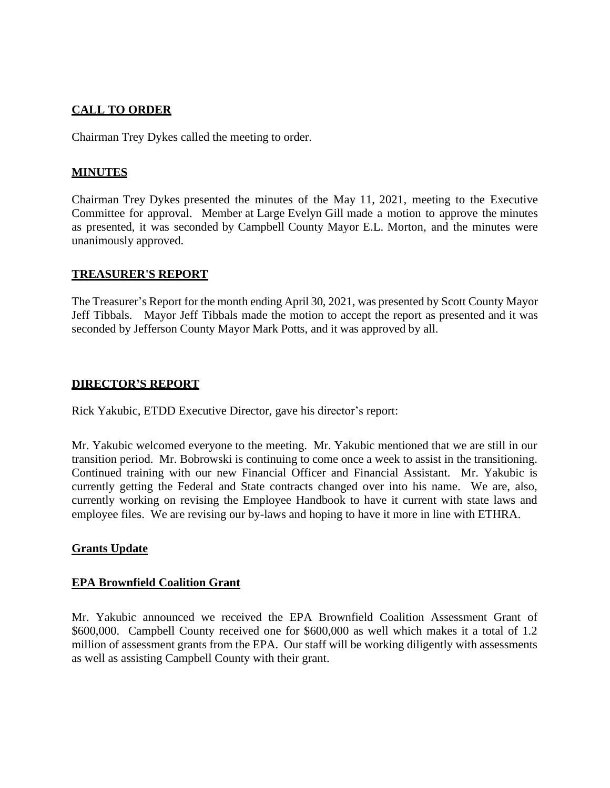# **CALL TO ORDER**

Chairman Trey Dykes called the meeting to order.

# **MINUTES**

Chairman Trey Dykes presented the minutes of the May 11, 2021, meeting to the Executive Committee for approval. Member at Large Evelyn Gill made a motion to approve the minutes as presented, it was seconded by Campbell County Mayor E.L. Morton, and the minutes were unanimously approved.

## **TREASURER'S REPORT**

The Treasurer's Report for the month ending April 30, 2021, was presented by Scott County Mayor Jeff Tibbals. Mayor Jeff Tibbals made the motion to accept the report as presented and it was seconded by Jefferson County Mayor Mark Potts, and it was approved by all.

## **DIRECTOR'S REPORT**

Rick Yakubic, ETDD Executive Director, gave his director's report:

Mr. Yakubic welcomed everyone to the meeting. Mr. Yakubic mentioned that we are still in our transition period. Mr. Bobrowski is continuing to come once a week to assist in the transitioning. Continued training with our new Financial Officer and Financial Assistant. Mr. Yakubic is currently getting the Federal and State contracts changed over into his name. We are, also, currently working on revising the Employee Handbook to have it current with state laws and employee files. We are revising our by-laws and hoping to have it more in line with ETHRA.

# **Grants Update**

# **EPA Brownfield Coalition Grant**

Mr. Yakubic announced we received the EPA Brownfield Coalition Assessment Grant of \$600,000. Campbell County received one for \$600,000 as well which makes it a total of 1.2 million of assessment grants from the EPA. Our staff will be working diligently with assessments as well as assisting Campbell County with their grant.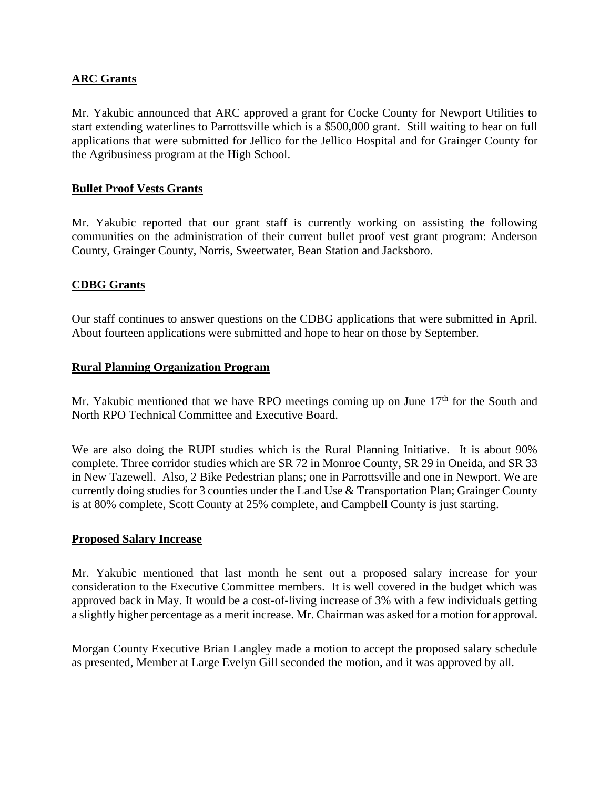## **ARC Grants**

Mr. Yakubic announced that ARC approved a grant for Cocke County for Newport Utilities to start extending waterlines to Parrottsville which is a \$500,000 grant. Still waiting to hear on full applications that were submitted for Jellico for the Jellico Hospital and for Grainger County for the Agribusiness program at the High School.

## **Bullet Proof Vests Grants**

Mr. Yakubic reported that our grant staff is currently working on assisting the following communities on the administration of their current bullet proof vest grant program: Anderson County, Grainger County, Norris, Sweetwater, Bean Station and Jacksboro.

## **CDBG Grants**

Our staff continues to answer questions on the CDBG applications that were submitted in April. About fourteen applications were submitted and hope to hear on those by September.

#### **Rural Planning Organization Program**

Mr. Yakubic mentioned that we have RPO meetings coming up on June  $17<sup>th</sup>$  for the South and North RPO Technical Committee and Executive Board.

We are also doing the RUPI studies which is the Rural Planning Initiative. It is about 90% complete. Three corridor studies which are SR 72 in Monroe County, SR 29 in Oneida, and SR 33 in New Tazewell. Also, 2 Bike Pedestrian plans; one in Parrottsville and one in Newport. We are currently doing studies for 3 counties under the Land Use & Transportation Plan; Grainger County is at 80% complete, Scott County at 25% complete, and Campbell County is just starting.

#### **Proposed Salary Increase**

Mr. Yakubic mentioned that last month he sent out a proposed salary increase for your consideration to the Executive Committee members. It is well covered in the budget which was approved back in May. It would be a cost-of-living increase of 3% with a few individuals getting a slightly higher percentage as a merit increase. Mr. Chairman was asked for a motion for approval.

Morgan County Executive Brian Langley made a motion to accept the proposed salary schedule as presented, Member at Large Evelyn Gill seconded the motion, and it was approved by all.